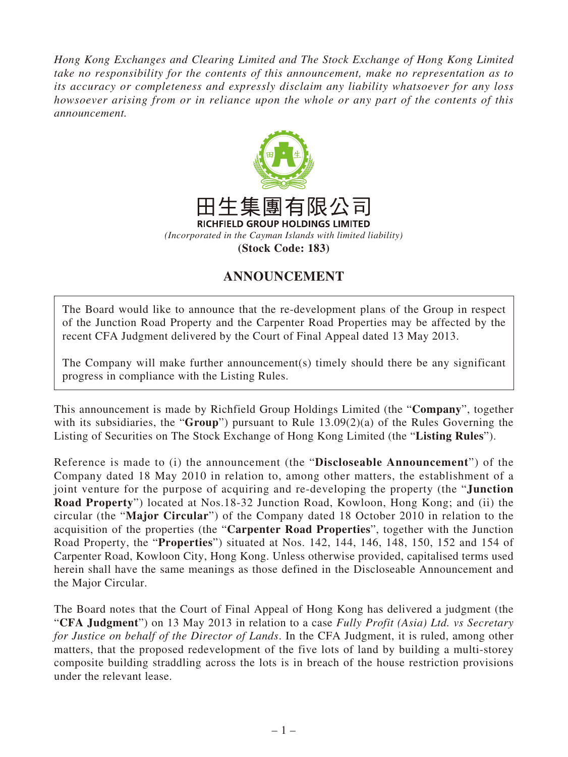*Hong Kong Exchanges and Clearing Limited and The Stock Exchange of Hong Kong Limited take no responsibility for the contents of this announcement, make no representation as to its accuracy or completeness and expressly disclaim any liability whatsoever for any loss howsoever arising from or in reliance upon the whole or any part of the contents of this announcement.*



## **ANNOUNCEMENT**

The Board would like to announce that the re-development plans of the Group in respect of the Junction Road Property and the Carpenter Road Properties may be affected by the recent CFA Judgment delivered by the Court of Final Appeal dated 13 May 2013.

The Company will make further announcement(s) timely should there be any significant progress in compliance with the Listing Rules.

This announcement is made by Richfield Group Holdings Limited (the "**Company**", together with its subsidiaries, the "**Group**") pursuant to Rule 13.09(2)(a) of the Rules Governing the Listing of Securities on The Stock Exchange of Hong Kong Limited (the "**Listing Rules**").

Reference is made to (i) the announcement (the "**Discloseable Announcement**") of the Company dated 18 May 2010 in relation to, among other matters, the establishment of a joint venture for the purpose of acquiring and re-developing the property (the "**Junction Road Property**") located at Nos.18-32 Junction Road, Kowloon, Hong Kong; and (ii) the circular (the "**Major Circular**") of the Company dated 18 October 2010 in relation to the acquisition of the properties (the "**Carpenter Road Properties**", together with the Junction Road Property, the "**Properties**") situated at Nos. 142, 144, 146, 148, 150, 152 and 154 of Carpenter Road, Kowloon City, Hong Kong. Unless otherwise provided, capitalised terms used herein shall have the same meanings as those defined in the Discloseable Announcement and the Major Circular.

The Board notes that the Court of Final Appeal of Hong Kong has delivered a judgment (the "**CFA Judgment**") on 13 May 2013 in relation to a case *Fully Profit (Asia) Ltd. vs Secretary for Justice on behalf of the Director of Lands*. In the CFA Judgment, it is ruled, among other matters, that the proposed redevelopment of the five lots of land by building a multi-storey composite building straddling across the lots is in breach of the house restriction provisions under the relevant lease.